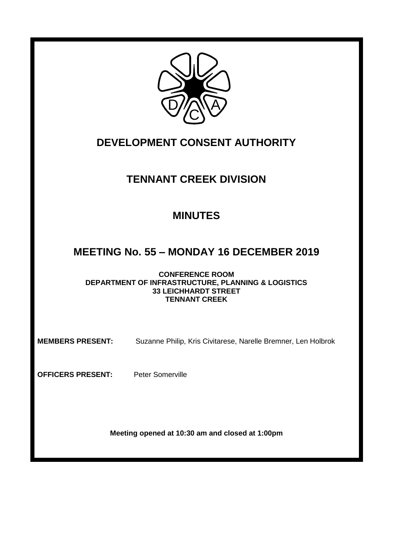

# **DEVELOPMENT CONSENT AUTHORITY**

## **TENNANT CREEK DIVISION**

## **MINUTES**

## **MEETING No. 55 – MONDAY 16 DECEMBER 2019**

**CONFERENCE ROOM DEPARTMENT OF INFRASTRUCTURE, PLANNING & LOGISTICS 33 LEICHHARDT STREET TENNANT CREEK**

**MEMBERS PRESENT:** Suzanne Philip, Kris Civitarese, Narelle Bremner, Len Holbrok

**OFFICERS PRESENT:** Peter Somerville

**Meeting opened at 10:30 am and closed at 1:00pm**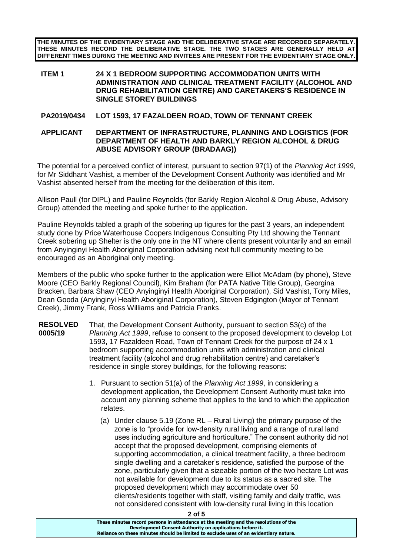**THE MINUTES OF THE EVIDENTIARY STAGE AND THE DELIBERATIVE STAGE ARE RECORDED SEPARATELY. THESE MINUTES RECORD THE DELIBERATIVE STAGE. THE TWO STAGES ARE GENERALLY HELD AT DIFFERENT TIMES DURING THE MEETING AND INVITEES ARE PRESENT FOR THE EVIDENTIARY STAGE ONLY.**

#### **ITEM 1 24 X 1 BEDROOM SUPPORTING ACCOMMODATION UNITS WITH ADMINISTRATION AND CLINICAL TREATMENT FACILITY (ALCOHOL AND DRUG REHABILITATION CENTRE) AND CARETAKERS'S RESIDENCE IN SINGLE STOREY BUILDINGS**

### **PA2019/0434 LOT 1593, 17 FAZALDEEN ROAD, TOWN OF TENNANT CREEK**

#### **APPLICANT DEPARTMENT OF INFRASTRUCTURE, PLANNING AND LOGISTICS (FOR DEPARTMENT OF HEALTH AND BARKLY REGION ALCOHOL & DRUG ABUSE ADVISORY GROUP (BRADAAG))**

The potential for a perceived conflict of interest, pursuant to section 97(1) of the *Planning Act 1999*, for Mr Siddhant Vashist, a member of the Development Consent Authority was identified and Mr Vashist absented herself from the meeting for the deliberation of this item.

Allison Paull (for DIPL) and Pauline Reynolds (for Barkly Region Alcohol & Drug Abuse, Advisory Group) attended the meeting and spoke further to the application.

Pauline Reynolds tabled a graph of the sobering up figures for the past 3 years, an independent study done by Price Waterhouse Coopers Indigenous Consulting Pty Ltd showing the Tennant Creek sobering up Shelter is the only one in the NT where clients present voluntarily and an email from Anyinginyi Health Aboriginal Corporation advising next full community meeting to be encouraged as an Aboriginal only meeting.

Members of the public who spoke further to the application were Elliot McAdam (by phone), Steve Moore (CEO Barkly Regional Council), Kim Braham (for PATA Native Title Group), Georgina Bracken, Barbara Shaw (CEO Anyinginyi Health Aboriginal Corporation), Sid Vashist, Tony Miles, Dean Gooda (Anyinginyi Health Aboriginal Corporation), Steven Edgington (Mayor of Tennant Creek), Jimmy Frank, Ross Williams and Patricia Franks.

- **RESOLVED 0005/19** That, the Development Consent Authority, pursuant to section 53(c) of the *Planning Act 1999*, refuse to consent to the proposed development to develop Lot 1593, 17 Fazaldeen Road, Town of Tennant Creek for the purpose of 24 x 1 bedroom supporting accommodation units with administration and clinical treatment facility (alcohol and drug rehabilitation centre) and caretaker's residence in single storey buildings, for the following reasons:
	- 1. Pursuant to section 51(a) of the *Planning Act 1999*, in considering a development application, the Development Consent Authority must take into account any planning scheme that applies to the land to which the application relates.
		- (a) Under clause 5.19 (Zone RL Rural Living) the primary purpose of the zone is to "provide for low-density rural living and a range of rural land uses including agriculture and horticulture." The consent authority did not accept that the proposed development, comprising elements of supporting accommodation, a clinical treatment facility, a three bedroom single dwelling and a caretaker's residence, satisfied the purpose of the zone, particularly given that a sizeable portion of the two hectare Lot was not available for development due to its status as a sacred site. The proposed development which may accommodate over 50 clients/residents together with staff, visiting family and daily traffic, was not considered consistent with low-density rural living in this location

**These minutes record persons in attendance at the meeting and the resolutions of the Development Consent Authority on applications before it. Reliance on these minutes should be limited to exclude uses of an evidentiary nature.**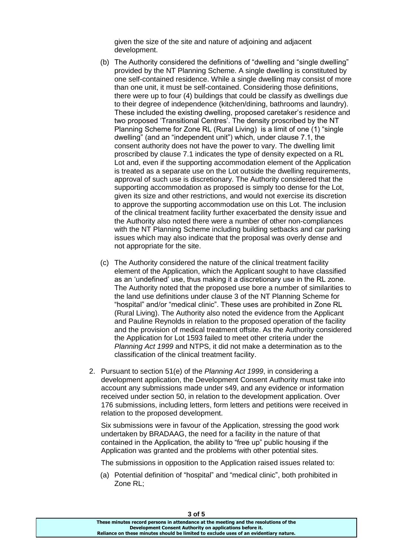given the size of the site and nature of adjoining and adjacent development.

- (b) The Authority considered the definitions of "dwelling and "single dwelling" provided by the NT Planning Scheme. A single dwelling is constituted by one self-contained residence. While a single dwelling may consist of more than one unit, it must be self-contained. Considering those definitions, there were up to four (4) buildings that could be classify as dwellings due to their degree of independence (kitchen/dining, bathrooms and laundry). These included the existing dwelling, proposed caretaker's residence and two proposed 'Transitional Centres'. The density proscribed by the NT Planning Scheme for Zone RL (Rural Living) is a limit of one (1) "single dwelling" (and an "independent unit") which, under clause 7.1, the consent authority does not have the power to vary. The dwelling limit proscribed by clause 7.1 indicates the type of density expected on a RL Lot and, even if the supporting accommodation element of the Application is treated as a separate use on the Lot outside the dwelling requirements, approval of such use is discretionary. The Authority considered that the supporting accommodation as proposed is simply too dense for the Lot, given its size and other restrictions, and would not exercise its discretion to approve the supporting accommodation use on this Lot. The inclusion of the clinical treatment facility further exacerbated the density issue and the Authority also noted there were a number of other non-compliances with the NT Planning Scheme including building setbacks and car parking issues which may also indicate that the proposal was overly dense and not appropriate for the site.
- (c) The Authority considered the nature of the clinical treatment facility element of the Application, which the Applicant sought to have classified as an 'undefined' use, thus making it a discretionary use in the RL zone. The Authority noted that the proposed use bore a number of similarities to the land use definitions under clause 3 of the NT Planning Scheme for "hospital" and/or "medical clinic". These uses are prohibited in Zone RL (Rural Living). The Authority also noted the evidence from the Applicant and Pauline Reynolds in relation to the proposed operation of the facility and the provision of medical treatment offsite. As the Authority considered the Application for Lot 1593 failed to meet other criteria under the *Planning Act 1999* and NTPS, it did not make a determination as to the classification of the clinical treatment facility.
- 2. Pursuant to section 51(e) of the *Planning Act 1999*, in considering a development application, the Development Consent Authority must take into account any submissions made under s49, and any evidence or information received under section 50, in relation to the development application. Over 176 submissions, including letters, form letters and petitions were received in relation to the proposed development.

Six submissions were in favour of the Application, stressing the good work undertaken by BRADAAG, the need for a facility in the nature of that contained in the Application, the ability to "free up" public housing if the Application was granted and the problems with other potential sites.

The submissions in opposition to the Application raised issues related to:

(a) Potential definition of "hospital" and "medical clinic", both prohibited in Zone RL;

| 3 of 5                                                                                |
|---------------------------------------------------------------------------------------|
| These minutes record persons in attendance at the meeting and the resolutions of the  |
| Development Consent Authority on applications before it.                              |
| Reliance on these minutes should be limited to exclude uses of an evidentiary nature. |
|                                                                                       |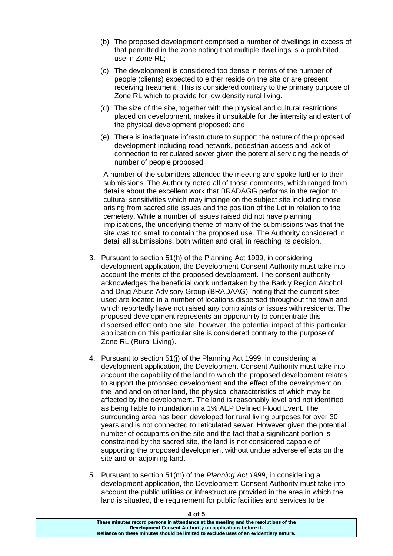- (b) The proposed development comprised a number of dwellings in excess of that permitted in the zone noting that multiple dwellings is a prohibited use in Zone RL;
- (c) The development is considered too dense in terms of the number of people (clients) expected to either reside on the site or are present receiving treatment. This is considered contrary to the primary purpose of Zone RL which to provide for low density rural living.
- (d) The size of the site, together with the physical and cultural restrictions placed on development, makes it unsuitable for the intensity and extent of the physical development proposed; and
- (e) There is inadequate infrastructure to support the nature of the proposed development including road network, pedestrian access and lack of connection to reticulated sewer given the potential servicing the needs of number of people proposed.

A number of the submitters attended the meeting and spoke further to their submissions. The Authority noted all of those comments, which ranged from details about the excellent work that BRADAGG performs in the region to cultural sensitivities which may impinge on the subject site including those arising from sacred site issues and the position of the Lot in relation to the cemetery. While a number of issues raised did not have planning implications, the underlying theme of many of the submissions was that the site was too small to contain the proposed use. The Authority considered in detail all submissions, both written and oral, in reaching its decision.

- 3. Pursuant to section 51(h) of the Planning Act 1999, in considering development application, the Development Consent Authority must take into account the merits of the proposed development. The consent authority acknowledges the beneficial work undertaken by the Barkly Region Alcohol and Drug Abuse Advisory Group (BRADAAG), noting that the current sites used are located in a number of locations dispersed throughout the town and which reportedly have not raised any complaints or issues with residents. The proposed development represents an opportunity to concentrate this dispersed effort onto one site, however, the potential impact of this particular application on this particular site is considered contrary to the purpose of Zone RL (Rural Living).
- 4. Pursuant to section 51(j) of the Planning Act 1999, in considering a development application, the Development Consent Authority must take into account the capability of the land to which the proposed development relates to support the proposed development and the effect of the development on the land and on other land, the physical characteristics of which may be affected by the development. The land is reasonably level and not identified as being liable to inundation in a 1% AEP Defined Flood Event. The surrounding area has been developed for rural living purposes for over 30 years and is not connected to reticulated sewer. However given the potential number of occupants on the site and the fact that a significant portion is constrained by the sacred site, the land is not considered capable of supporting the proposed development without undue adverse effects on the site and on adjoining land.
- 5. Pursuant to section 51(m) of the *Planning Act 1999*, in considering a development application, the Development Consent Authority must take into account the public utilities or infrastructure provided in the area in which the land is situated, the requirement for public facilities and services to be

**4 of 5**